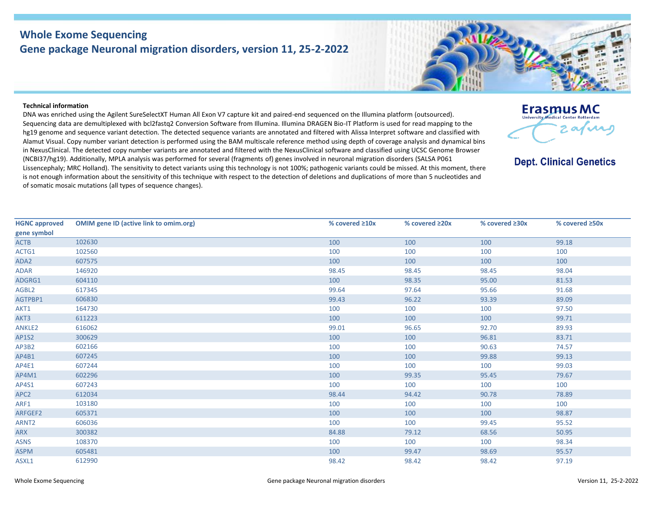## **Whole Exome Sequencing Gene package Neuronal migration disorders, version 11, 25-2-2022**



**Erasmus MC University Medical Center Potterda** 

**Dept. Clinical Genetics** 

2 av vas

## **Technical information**

DNA was enriched using the Agilent SureSelectXT Human All Exon V7 capture kit and paired-end sequenced on the Illumina platform (outsourced). Sequencing data are demultiplexed with bcl2fastq2 Conversion Software from Illumina. Illumina DRAGEN Bio-IT Platform is used for read mapping to the hg19 genome and sequence variant detection. The detected sequence variants are annotated and filtered with Alissa Interpret software and classified with Alamut Visual. Copy number variant detection is performed using the BAM multiscale reference method using depth of coverage analysis and dynamical bins in NexusClinical. The detected copy number variants are annotated and filtered with the NexusClinical software and classified using UCSC Genome Browser (NCBI37/hg19). Additionally, MPLA analysis was performed for several (fragments of) genes involved in neuronal migration disorders (SALSA P061 Lissencephaly; MRC Holland). The sensitivity to detect variants using this technology is not 100%; pathogenic variants could be missed. At this moment, there is not enough information about the sensitivity of this technique with respect to the detection of deletions and duplications of more than 5 nucleotides and of somatic mosaic mutations (all types of sequence changes).

| <b>HGNC approved</b><br>gene symbol | <b>OMIM gene ID (active link to omim.org)</b> | % covered $\geq 10x$ | % covered ≥20x | % covered ≥30x | % covered ≥50x |
|-------------------------------------|-----------------------------------------------|----------------------|----------------|----------------|----------------|
| <b>ACTB</b>                         | 102630                                        | 100                  | 100            | 100            | 99.18          |
| ACTG1                               | 102560                                        | 100                  | 100            | 100            | 100            |
| ADA2                                | 607575                                        | 100                  | 100            | 100            | 100            |
| <b>ADAR</b>                         | 146920                                        | 98.45                | 98.45          | 98.45          | 98.04          |
| ADGRG1                              | 604110                                        | 100                  | 98.35          | 95.00          | 81.53          |
| AGBL2                               | 617345                                        | 99.64                | 97.64          | 95.66          | 91.68          |
| AGTPBP1                             | 606830                                        | 99.43                | 96.22          | 93.39          | 89.09          |
| AKT1                                | 164730                                        | 100                  | 100            | 100            | 97.50          |
| AKT3                                | 611223                                        | 100                  | 100            | 100            | 99.71          |
| <b>ANKLE2</b>                       | 616062                                        | 99.01                | 96.65          | 92.70          | 89.93          |
| <b>AP1S2</b>                        | 300629                                        | 100                  | 100            | 96.81          | 83.71          |
| AP3B2                               | 602166                                        | 100                  | 100            | 90.63          | 74.57          |
| AP4B1                               | 607245                                        | 100                  | 100            | 99.88          | 99.13          |
| AP4E1                               | 607244                                        | 100                  | 100            | 100            | 99.03          |
| AP4M1                               | 602296                                        | 100                  | 99.35          | 95.45          | 79.67          |
| AP4S1                               | 607243                                        | 100                  | 100            | 100            | 100            |
| APC <sub>2</sub>                    | 612034                                        | 98.44                | 94.42          | 90.78          | 78.89          |
| ARF1                                | 103180                                        | 100                  | 100            | 100            | 100            |
| ARFGEF2                             | 605371                                        | 100                  | 100            | 100            | 98.87          |
| ARNT <sub>2</sub>                   | 606036                                        | 100                  | 100            | 99.45          | 95.52          |
| ARX                                 | 300382                                        | 84.88                | 79.12          | 68.56          | 50.95          |
| <b>ASNS</b>                         | 108370                                        | 100                  | 100            | 100            | 98.34          |
| <b>ASPM</b>                         | 605481                                        | 100                  | 99.47          | 98.69          | 95.57          |
| ASXL1                               | 612990                                        | 98.42                | 98.42          | 98.42          | 97.19          |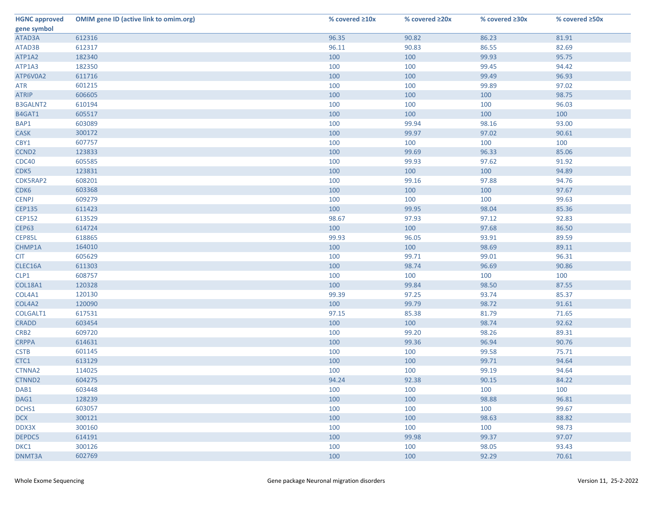| <b>HGNC approved</b> | <b>OMIM gene ID (active link to omim.org)</b> | % covered ≥10x | % covered ≥20x | % covered ≥30x | % covered ≥50x |
|----------------------|-----------------------------------------------|----------------|----------------|----------------|----------------|
| gene symbol          |                                               |                |                |                |                |
| ATAD3A               | 612316                                        | 96.35          | 90.82          | 86.23          | 81.91          |
| ATAD3B               | 612317                                        | 96.11          | 90.83          | 86.55          | 82.69          |
| ATP1A2               | 182340                                        | 100            | 100            | 99.93          | 95.75          |
| ATP1A3               | 182350                                        | 100            | 100            | 99.45          | 94.42          |
| ATP6V0A2             | 611716                                        | 100            | 100            | 99.49          | 96.93          |
| <b>ATR</b>           | 601215                                        | 100            | 100            | 99.89          | 97.02          |
| <b>ATRIP</b>         | 606605                                        | 100            | 100            | 100            | 98.75          |
| <b>B3GALNT2</b>      | 610194                                        | 100            | 100            | 100            | 96.03          |
| B4GAT1               | 605517                                        | 100            | 100            | 100            | 100            |
| BAP1                 | 603089                                        | 100            | 99.94          | 98.16          | 93.00          |
| <b>CASK</b>          | 300172                                        | 100            | 99.97          | 97.02          | 90.61          |
| CBY1                 | 607757                                        | 100            | 100            | 100            | 100            |
| CCND <sub>2</sub>    | 123833                                        | 100            | 99.69          | 96.33          | 85.06          |
| <b>CDC40</b>         | 605585                                        | 100            | 99.93          | 97.62          | 91.92          |
| CDK5                 | 123831                                        | 100            | 100            | 100            | 94.89          |
| CDK5RAP2             | 608201                                        | 100            | 99.16          | 97.88          | 94.76          |
| CDK6                 | 603368                                        | 100            | 100            | 100            | 97.67          |
| <b>CENPJ</b>         | 609279                                        | 100            | 100            | 100            | 99.63          |
| <b>CEP135</b>        | 611423                                        | 100            | 99.95          | 98.04          | 85.36          |
| <b>CEP152</b>        | 613529                                        | 98.67          | 97.93          | 97.12          | 92.83          |
| <b>CEP63</b>         | 614724                                        | 100            | 100            | 97.68          | 86.50          |
| CEP85L               | 618865                                        | 99.93          | 96.05          | 93.91          | 89.59          |
| CHMP1A               | 164010                                        | 100            | 100            | 98.69          | 89.11          |
| <b>CIT</b>           | 605629                                        | 100            | 99.71          | 99.01          | 96.31          |
| CLEC16A              | 611303                                        | 100            | 98.74          | 96.69          | 90.86          |
| CLP1                 | 608757                                        | 100            | 100            | 100            | 100            |
| <b>COL18A1</b>       | 120328                                        | 100            | 99.84          | 98.50          | 87.55          |
| COL4A1               | 120130                                        | 99.39          | 97.25          | 93.74          | 85.37          |
| COL4A2               | 120090                                        | 100            | 99.79          | 98.72          | 91.61          |
| COLGALT1             | 617531                                        | 97.15          | 85.38          | 81.79          | 71.65          |
| <b>CRADD</b>         | 603454                                        | 100            | 100            | 98.74          | 92.62          |
| CRB <sub>2</sub>     | 609720                                        | 100            | 99.20          | 98.26          | 89.31          |
| <b>CRPPA</b>         | 614631                                        | 100            | 99.36          | 96.94          | 90.76          |
| <b>CSTB</b>          | 601145                                        | 100            | 100            | 99.58          | 75.71          |
| CTC1                 | 613129                                        | 100            | 100            | 99.71          | 94.64          |
| CTNNA2               | 114025                                        | 100            | 100            | 99.19          | 94.64          |
| CTNND2               | 604275                                        | 94.24          | 92.38          | 90.15          | 84.22          |
| DAB1                 | 603448                                        | 100            | 100            | 100            | 100            |
| DAG1                 | 128239                                        | 100            | 100            | 98.88          | 96.81          |
| DCHS1                | 603057                                        | 100            | 100            | 100            | 99.67          |
| <b>DCX</b>           | 300121                                        | 100            | 100            | 98.63          | 88.82          |
| DDX3X                | 300160                                        | 100            | 100            | 100            | 98.73          |
| DEPDC5               | 614191                                        | 100            | 99.98          | 99.37          | 97.07          |
| DKC1                 | 300126                                        | 100            | 100            | 98.05          | 93.43          |
| DNMT3A               | 602769                                        | 100            | 100            | 92.29          | 70.61          |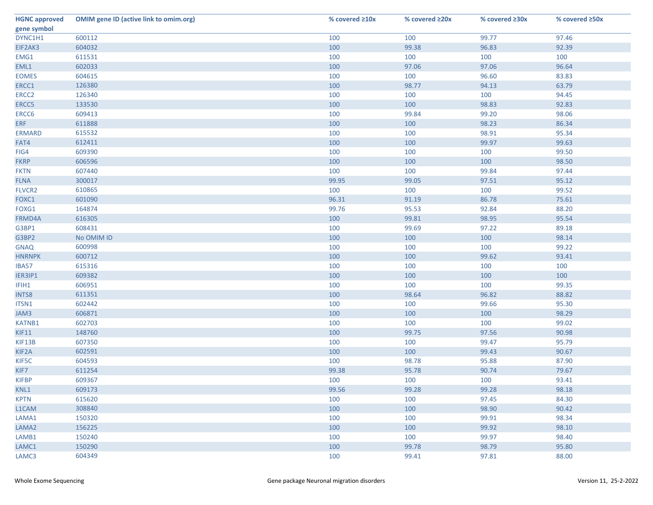| <b>HGNC approved</b> | <b>OMIM gene ID (active link to omim.org)</b> | % covered ≥10x | % covered ≥20x | % covered ≥30x | % covered ≥50x |
|----------------------|-----------------------------------------------|----------------|----------------|----------------|----------------|
| gene symbol          |                                               |                |                |                |                |
| DYNC1H1              | 600112                                        | 100            | 100            | 99.77          | 97.46          |
| EIF2AK3              | 604032                                        | 100            | 99.38          | 96.83          | 92.39          |
| EMG1                 | 611531                                        | 100            | 100            | 100            | 100            |
| EML1                 | 602033                                        | 100            | 97.06          | 97.06          | 96.64          |
| <b>EOMES</b>         | 604615                                        | 100            | 100            | 96.60          | 83.83          |
| ERCC1                | 126380                                        | 100            | 98.77          | 94.13          | 63.79          |
| ERCC <sub>2</sub>    | 126340                                        | 100            | 100            | 100            | 94.45          |
| ERCC5                | 133530                                        | 100            | 100            | 98.83          | 92.83          |
| ERCC6                | 609413                                        | 100            | 99.84          | 99.20          | 98.06          |
| <b>ERF</b>           | 611888                                        | 100            | 100            | 98.23          | 86.34          |
| <b>ERMARD</b>        | 615532                                        | 100            | 100            | 98.91          | 95.34          |
| FAT4                 | 612411                                        | 100            | 100            | 99.97          | 99.63          |
| FIG4                 | 609390                                        | 100            | 100            | 100            | 99.50          |
| <b>FKRP</b>          | 606596                                        | 100            | 100            | 100            | 98.50          |
| <b>FKTN</b>          | 607440                                        | 100            | 100            | 99.84          | 97.44          |
| <b>FLNA</b>          | 300017                                        | 99.95          | 99.05          | 97.51          | 95.12          |
| FLVCR2               | 610865                                        | 100            | 100            | 100            | 99.52          |
| FOXC1                | 601090                                        | 96.31          | 91.19          | 86.78          | 75.61          |
| FOXG1                | 164874                                        | 99.76          | 95.53          | 92.84          | 88.20          |
| FRMD4A               | 616305                                        | 100            | 99.81          | 98.95          | 95.54          |
| G3BP1                | 608431                                        | 100            | 99.69          | 97.22          | 89.18          |
| G3BP2                | No OMIM ID                                    | 100            | 100            | 100            | 98.14          |
| <b>GNAQ</b>          | 600998                                        | 100            | 100            | 100            | 99.22          |
| <b>HNRNPK</b>        | 600712                                        | 100            | 100            | 99.62          | 93.41          |
| IBA57                | 615316                                        | 100            | 100            | 100            | 100            |
| IER3IP1              | 609382                                        | 100            | 100            | 100            | 100            |
| IFIH1                | 606951                                        | 100            | 100            | 100            | 99.35          |
| <b>INTS8</b>         | 611351                                        | 100            | 98.64          | 96.82          | 88.82          |
| ITSN1                | 602442                                        | 100            | 100            | 99.66          | 95.30          |
| JAM3                 | 606871                                        | 100            | 100            | 100            | 98.29          |
| KATNB1               | 602703                                        | 100            | 100            | 100            | 99.02          |
| <b>KIF11</b>         | 148760                                        | 100            | 99.75          | 97.56          | 90.98          |
| KIF13B               | 607350                                        | 100            | 100            | 99.47          | 95.79          |
| KIF2A                | 602591                                        | 100            | 100            | 99.43          | 90.67          |
| KIF5C                | 604593                                        | 100            | 98.78          | 95.88          | 87.90          |
| KIF7                 | 611254                                        | 99.38          | 95.78          | 90.74          | 79.67          |
| <b>KIFBP</b>         | 609367                                        | 100            | 100            | 100            | 93.41          |
| KNL1                 | 609173                                        | 99.56          | 99.28          | 99.28          | 98.18          |
| <b>KPTN</b>          | 615620                                        | 100            | 100            | 97.45          | 84.30          |
| L1CAM                | 308840                                        | 100            | 100            | 98.90          | 90.42          |
| LAMA1                | 150320                                        | 100            | 100            | 99.91          | 98.34          |
| LAMA <sub>2</sub>    | 156225                                        | 100            | 100            | 99.92          | 98.10          |
| LAMB1                | 150240                                        | 100            | 100            | 99.97          | 98.40          |
| LAMC1                | 150290                                        | 100            | 99.78          | 98.79          | 95.80          |
| LAMC3                | 604349                                        | 100            | 99.41          | 97.81          | 88.00          |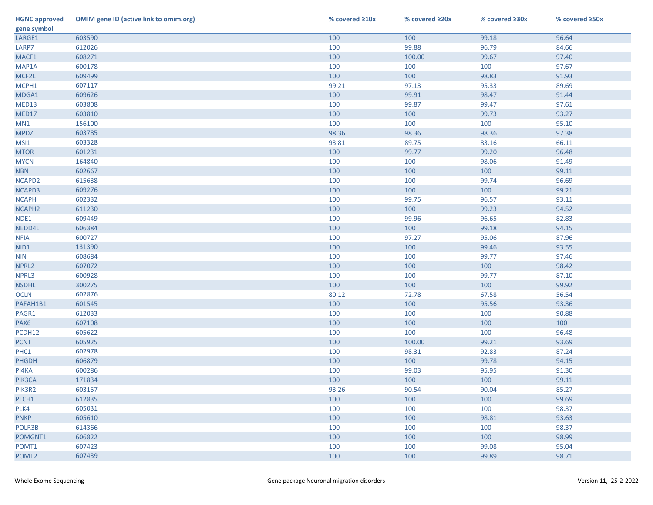| <b>HGNC approved</b> | <b>OMIM gene ID (active link to omim.org)</b> | % covered ≥10x | % covered ≥20x | % covered ≥30x | % covered ≥50x |
|----------------------|-----------------------------------------------|----------------|----------------|----------------|----------------|
| gene symbol          |                                               |                |                |                |                |
| LARGE1               | 603590                                        | 100            | 100            | 99.18          | 96.64          |
| LARP7                | 612026                                        | 100            | 99.88          | 96.79          | 84.66          |
| MACF1                | 608271                                        | 100            | 100.00         | 99.67          | 97.40          |
| MAP1A                | 600178                                        | 100            | 100            | 100            | 97.67          |
| MCF2L                | 609499                                        | 100            | 100            | 98.83          | 91.93          |
| MCPH1                | 607117                                        | 99.21          | 97.13          | 95.33          | 89.69          |
| MDGA1                | 609626                                        | 100            | 99.91          | 98.47          | 91.44          |
| MED13                | 603808                                        | 100            | 99.87          | 99.47          | 97.61          |
| MED17                | 603810                                        | 100            | 100            | 99.73          | 93.27          |
| MN1                  | 156100                                        | 100            | 100            | 100            | 95.10          |
| <b>MPDZ</b>          | 603785                                        | 98.36          | 98.36          | 98.36          | 97.38          |
| MSI1                 | 603328                                        | 93.81          | 89.75          | 83.16          | 66.11          |
| <b>MTOR</b>          | 601231                                        | 100            | 99.77          | 99.20          | 96.48          |
| <b>MYCN</b>          | 164840                                        | 100            | 100            | 98.06          | 91.49          |
| <b>NBN</b>           | 602667                                        | 100            | 100            | 100            | 99.11          |
| NCAPD2               | 615638                                        | 100            | 100            | 99.74          | 96.69          |
| NCAPD3               | 609276                                        | 100            | 100            | 100            | 99.21          |
| <b>NCAPH</b>         | 602332                                        | 100            | 99.75          | 96.57          | 93.11          |
| NCAPH <sub>2</sub>   | 611230                                        | 100            | 100            | 99.23          | 94.52          |
| NDE1                 | 609449                                        | 100            | 99.96          | 96.65          | 82.83          |
| NEDD4L               | 606384                                        | 100            | 100            | 99.18          | 94.15          |
| <b>NFIA</b>          | 600727                                        | 100            | 97.27          | 95.06          | 87.96          |
| NID1                 | 131390                                        | 100            | 100            | 99.46          | 93.55          |
| <b>NIN</b>           | 608684                                        | 100            | 100            | 99.77          | 97.46          |
| NPRL2                | 607072                                        | 100            | 100            | 100            | 98.42          |
| NPRL3                | 600928                                        | 100            | 100            | 99.77          | 87.10          |
| <b>NSDHL</b>         | 300275                                        | 100            | 100            | 100            | 99.92          |
| <b>OCLN</b>          | 602876                                        | 80.12          | 72.78          | 67.58          | 56.54          |
| PAFAH1B1             | 601545                                        | 100            | 100            | 95.56          | 93.36          |
| PAGR1                | 612033                                        | 100            | 100            | 100            | 90.88          |
| PAX6                 | 607108                                        | 100            | 100            | 100            | 100            |
| PCDH12               | 605622                                        | 100            | 100            | 100            | 96.48          |
| <b>PCNT</b>          | 605925                                        | 100            | 100.00         | 99.21          | 93.69          |
| PHC1                 | 602978                                        | 100            | 98.31          | 92.83          | 87.24          |
| <b>PHGDH</b>         | 606879                                        | 100            | 100            | 99.78          | 94.15          |
| PI4KA                | 600286                                        | 100            | 99.03          | 95.95          | 91.30          |
| PIK3CA               | 171834                                        | 100            | 100            | 100            | 99.11          |
| PIK3R2               | 603157                                        | 93.26          | 90.54          | 90.04          | 85.27          |
| PLCH1                | 612835                                        | 100            | 100            | 100            | 99.69          |
| PLK4                 | 605031                                        | 100            | 100            | 100            | 98.37          |
| <b>PNKP</b>          | 605610                                        | 100            | 100            | 98.81          | 93.63          |
| POLR3B               | 614366                                        | 100            | 100            | 100            | 98.37          |
| POMGNT1              | 606822                                        | 100            | 100            | 100            | 98.99          |
| POMT1                | 607423                                        | 100            | 100            | 99.08          | 95.04          |
| POMT <sub>2</sub>    | 607439                                        | 100            | 100            | 99.89          | 98.71          |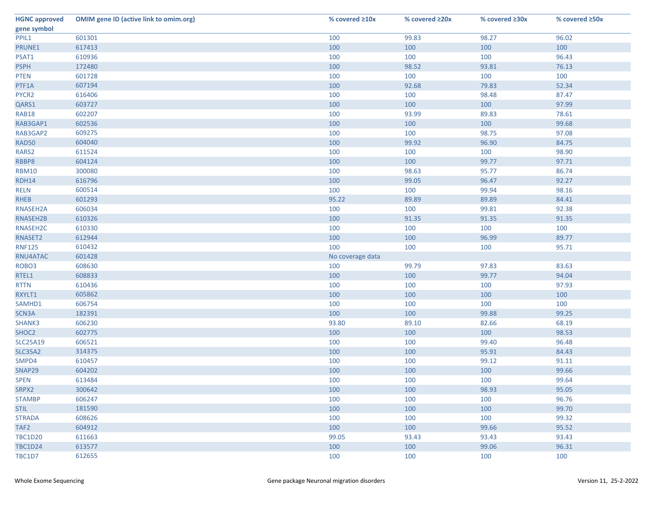| <b>HGNC approved</b> | <b>OMIM gene ID (active link to omim.org)</b> | % covered ≥10x   | % covered ≥20x | % covered ≥30x | % covered ≥50x |
|----------------------|-----------------------------------------------|------------------|----------------|----------------|----------------|
| gene symbol          |                                               |                  |                |                |                |
| PPIL1                | 601301                                        | 100              | 99.83          | 98.27          | 96.02          |
| PRUNE1               | 617413                                        | 100              | 100            | 100            | 100            |
| PSAT1                | 610936                                        | 100              | 100            | 100            | 96.43          |
| <b>PSPH</b>          | 172480                                        | 100              | 98.52          | 93.81          | 76.13          |
| <b>PTEN</b>          | 601728                                        | 100              | 100            | 100            | 100            |
| PTF1A                | 607194                                        | 100              | 92.68          | 79.83          | 52.34          |
| PYCR2                | 616406                                        | 100              | 100            | 98.48          | 87.47          |
| QARS1                | 603727                                        | 100              | 100            | 100            | 97.99          |
| <b>RAB18</b>         | 602207                                        | 100              | 93.99          | 89.83          | 78.61          |
| RAB3GAP1             | 602536                                        | 100              | 100            | 100            | 99.68          |
| RAB3GAP2             | 609275                                        | 100              | 100            | 98.75          | 97.08          |
| <b>RAD50</b>         | 604040                                        | 100              | 99.92          | 96.90          | 84.75          |
| RARS2                | 611524                                        | 100              | 100            | 100            | 98.90          |
| RBBP8                | 604124                                        | 100              | 100            | 99.77          | 97.71          |
| <b>RBM10</b>         | 300080                                        | 100              | 98.63          | 95.77          | 86.74          |
| <b>RDH14</b>         | 616796                                        | 100              | 99.05          | 96.47          | 92.27          |
| <b>RELN</b>          | 600514                                        | 100              | 100            | 99.94          | 98.16          |
| <b>RHEB</b>          | 601293                                        | 95.22            | 89.89          | 89.89          | 84.41          |
| RNASEH2A             | 606034                                        | 100              | 100            | 99.81          | 92.38          |
| RNASEH2B             | 610326                                        | 100              | 91.35          | 91.35          | 91.35          |
| RNASEH2C             | 610330                                        | 100              | 100            | 100            | 100            |
| RNASET2              | 612944                                        | 100              | 100            | 96.99          | 89.77          |
| <b>RNF125</b>        | 610432                                        | 100              | 100            | 100            | 95.71          |
| RNU4ATAC             | 601428                                        | No coverage data |                |                |                |
| ROBO3                | 608630                                        | 100              | 99.79          | 97.83          | 83.63          |
| RTEL1                | 608833                                        | 100              | 100            | 99.77          | 94.04          |
| <b>RTTN</b>          | 610436                                        | 100              | 100            | 100            | 97.93          |
| RXYLT1               | 605862                                        | 100              | 100            | 100            | 100            |
| SAMHD1               | 606754                                        | 100              | 100            | 100            | 100            |
| SCN3A                | 182391                                        | 100              | 100            | 99.88          | 99.25          |
| SHANK3               | 606230                                        | 93.80            | 89.10          | 82.66          | 68.19          |
| SHOC <sub>2</sub>    | 602775                                        | 100              | 100            | 100            | 98.53          |
| <b>SLC25A19</b>      | 606521                                        | 100              | 100            | 99.40          | 96.48          |
| <b>SLC35A2</b>       | 314375                                        | 100              | 100            | 95.91          | 84.43          |
| SMPD4                | 610457                                        | 100              | 100            | 99.12          | 91.11          |
| SNAP29               | 604202                                        | 100              | 100            | 100            | 99.66          |
| <b>SPEN</b>          | 613484                                        | 100              | 100            | 100            | 99.64          |
| SRPX2                | 300642                                        | 100              | 100            | 98.93          | 95.05          |
| <b>STAMBP</b>        | 606247                                        | 100              | 100            | 100            | 96.76          |
| <b>STIL</b>          | 181590                                        | 100              | 100            | 100            | 99.70          |
| <b>STRADA</b>        | 608626                                        | 100              | 100            | 100            | 99.32          |
| TAF <sub>2</sub>     | 604912                                        | 100              | 100            | 99.66          | 95.52          |
| <b>TBC1D20</b>       | 611663                                        | 99.05            | 93.43          | 93.43          | 93.43          |
| <b>TBC1D24</b>       | 613577                                        | 100              | 100            | 99.06          | 96.31          |
| <b>TBC1D7</b>        | 612655                                        | 100              | 100            | 100            | 100            |